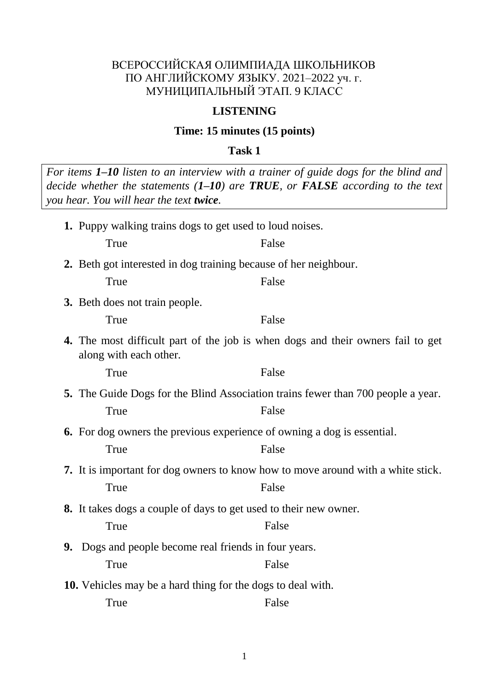### ВСЕРОССИЙСКАЯ ОЛИМПИАДА ШКОЛЬНИКОВ ПО АНГЛИЙСКОМУ ЯЗЫКУ. 2021–2022 уч. г. МУНИЦИПАЛЬНЫЙ ЭТАП. 9 КЛАСС

#### **LISTENING**

#### **Time: 15 minutes (15 points)**

**Task 1**

*For items 1–10 listen to an interview with a trainer of guide dogs for the blind and decide whether the statements (1–10) are TRUE, or FALSE according to the text you hear. You will hear the text twice.* **1.** Puppy walking trains dogs to get used to loud noises. True False **2.** Beth got interested in dog training because of her neighbour. True False **3.** Beth does not train people. True False **4.** The most difficult part of the job is when dogs and their owners fail to get along with each other. True False **5.** The Guide Dogs for the Blind Association trains fewer than 700 people a year. True False **6.** For dog owners the previous experience of owning a dog is essential. True False **7.** It is important for dog owners to know how to move around with a white stick. True False **8.** It takes dogs a couple of days to get used to their new owner. True **False 9.** Dogs and people become real friends in four years. True False **10.** Vehicles may be a hard thing for the dogs to deal with. True False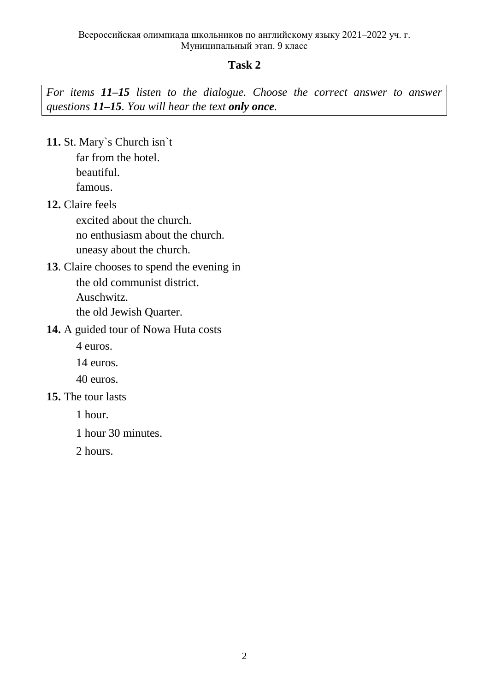### **Task 2**

*For items 11–15 listen to the dialogue. Choose the correct answer to answer questions 11–15. You will hear the text only once.*

**11.** St. Mary`s Church isn`t

far from the hotel. beautiful. famous.

**12.** Claire feels

excited about the church. no enthusiasm about the church. uneasy about the church.

- **13**. Claire chooses to spend the evening in the old communist district. Auschwitz. the old Jewish Quarter.
- **14.** A guided tour of Nowa Huta costs

4 euros.

14 euros.

- 40 euros.
- **15.** The tour lasts

1 hour.

1 hour 30 minutes.

2 hours.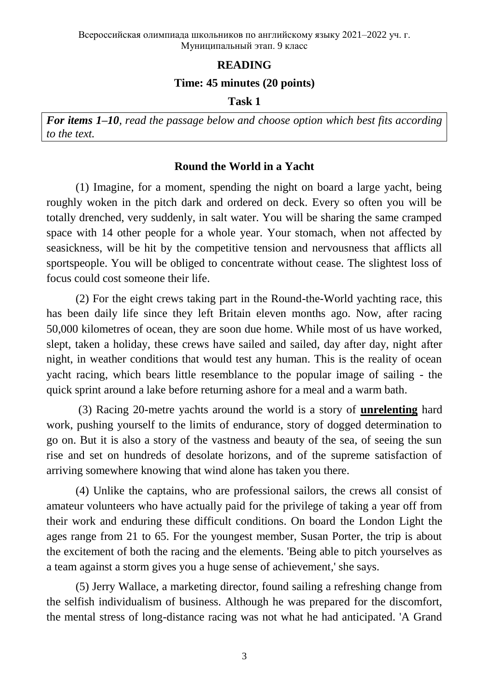# **READING**

### **Time: 45 minutes (20 points)**

#### **Task 1**

*For items 1–10, read the passage below and choose option which best fits according to the text.* 

# **Round the World in a Yacht**

(1) Imagine, for a moment, spending the night on board a large yacht, being roughly woken in the pitch dark and ordered on deck. Every so often you will be totally drenched, very suddenly, in salt water. You will be sharing the same cramped space with 14 other people for a whole year. Your stomach, when not affected by seasickness, will be hit by the competitive tension and nervousness that afflicts all sportspeople. You will be obliged to concentrate without cease. The slightest loss of focus could cost someone their life.

(2) For the eight crews taking part in the Round-the-World yachting race, this has been daily life since they left Britain eleven months ago. Now, after racing 50,000 kilometres of ocean, they are soon due home. While most of us have worked, slept, taken a holiday, these crews have sailed and sailed, day after day, night after night, in weather conditions that would test any human. This is the reality of ocean yacht racing, which bears little resemblance to the popular image of sailing - the quick sprint around a lake before returning ashore for a meal and a warm bath.

(3) Racing 20-metre yachts around the world is a story of **unrelenting** hard work, pushing yourself to the limits of endurance, story of dogged determination to go on. But it is also a story of the vastness and beauty of the sea, of seeing the sun rise and set on hundreds of desolate horizons, and of the supreme satisfaction of arriving somewhere knowing that wind alone has taken you there.

(4) Unlike the captains, who are professional sailors, the crews all consist of amateur volunteers who have actually paid for the privilege of taking a year off from their work and enduring these difficult conditions. On board the London Light the ages range from 21 to 65. For the youngest member, Susan Porter, the trip is about the excitement of both the racing and the elements. 'Being able to pitch yourselves as a team against a storm gives you a huge sense of achievement,' she says.

(5) Jerry Wallace, a marketing director, found sailing a refreshing change from the selfish individualism of business. Although he was prepared for the discomfort, the mental stress of long-distance racing was not what he had anticipated. 'A Grand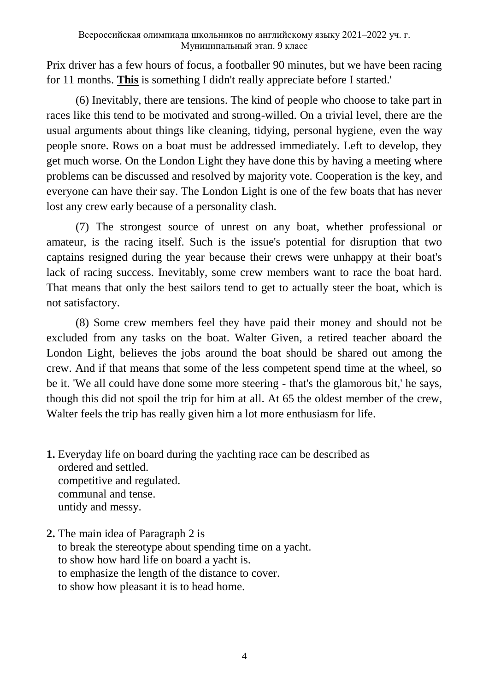Prix driver has a few hours of focus, a footballer 90 minutes, but we have been racing for 11 months. **This** is something I didn't really appreciate before I started.'

(6) Inevitably, there are tensions. The kind of people who choose to take part in races like this tend to be motivated and strong-willed. On a trivial level, there are the usual arguments about things like cleaning, tidying, personal hygiene, even the way people snore. Rows on a boat must be addressed immediately. Left to develop, they get much worse. On the London Light they have done this by having a meeting where problems can be discussed and resolved by majority vote. Cooperation is the key, and everyone can have their say. The London Light is one of the few boats that has never lost any crew early because of a personality clash.

(7) The strongest source of unrest on any boat, whether professional or amateur, is the racing itself. Such is the issue's potential for disruption that two captains resigned during the year because their crews were unhappy at their boat's lack of racing success. Inevitably, some crew members want to race the boat hard. That means that only the best sailors tend to get to actually steer the boat, which is not satisfactory.

(8) Some crew members feel they have paid their money and should not be excluded from any tasks on the boat. Walter Given, a retired teacher aboard the London Light, believes the jobs around the boat should be shared out among the crew. And if that means that some of the less competent spend time at the wheel, so be it. 'We all could have done some more steering - that's the glamorous bit,' he says, though this did not spoil the trip for him at all. At 65 the oldest member of the crew, Walter feels the trip has really given him a lot more enthusiasm for life.

- **1.** Everyday life on board during the yachting race can be described as ordered and settled. competitive and regulated. communal and tense. untidy and messy.
- **2.** The main idea of Paragraph 2 is to break the stereotype about spending time on a yacht. to show how hard life on board a yacht is. to emphasize the length of the distance to cover. to show how pleasant it is to head home.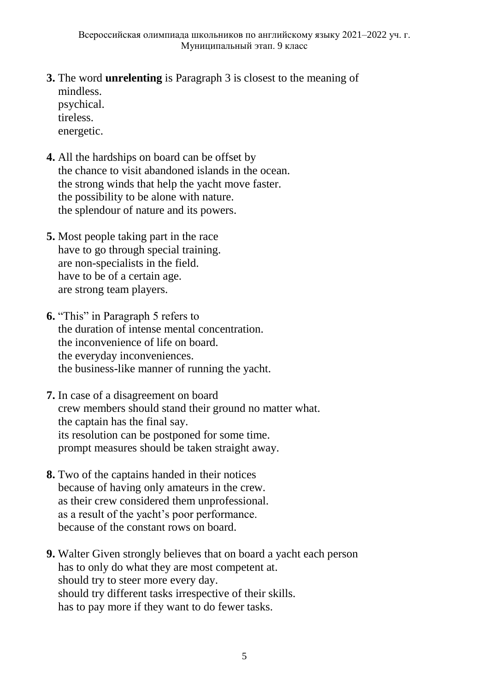- **3.** The word **unrelenting** is Paragraph 3 is closest to the meaning of mindless. psychical. tireless. energetic.
- **4.** All the hardships on board can be offset by the chance to visit abandoned islands in the ocean. the strong winds that help the yacht move faster. the possibility to be alone with nature. the splendour of nature and its powers.
- **5.** Most people taking part in the race have to go through special training. are non-specialists in the field. have to be of a certain age. are strong team players.
- **6.** "This" in Paragraph 5 refers to the duration of intense mental concentration. the inconvenience of life on board. the everyday inconveniences. the business-like manner of running the yacht.
- **7.** In case of a disagreement on board crew members should stand their ground no matter what. the captain has the final say. its resolution can be postponed for some time. prompt measures should be taken straight away.
- **8.** Two of the captains handed in their notices because of having only amateurs in the crew. as their crew considered them unprofessional. as a result of the yacht's poor performance. because of the constant rows on board.
- **9.** Walter Given strongly believes that on board a yacht each person has to only do what they are most competent at. should try to steer more every day. should try different tasks irrespective of their skills. has to pay more if they want to do fewer tasks.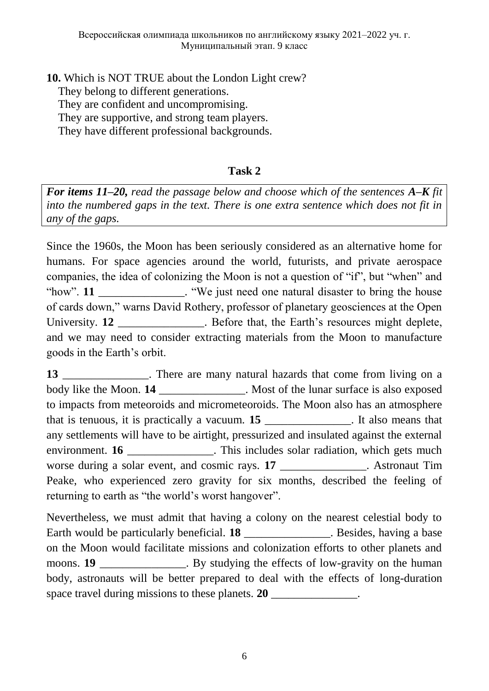**10.** Which is NOT TRUE about the London Light crew?

They belong to different generations.

They are confident and uncompromising.

They are supportive, and strong team players.

They have different professional backgrounds.

# **Task 2**

*For items 11–20, read the passage below and choose which of the sentences A–K fit into the numbered gaps in the text. There is one extra sentence which does not fit in any of the gaps.* 

Since the 1960s, the Moon has been seriously considered as an alternative home for humans. For space agencies around the world, futurists, and private aerospace companies, the idea of colonizing the Moon is not a question of "if", but "when" and "how". **11** \_\_\_\_\_\_\_\_\_\_\_\_\_\_. "We just need one natural disaster to bring the house of cards down," warns David Rothery, professor of planetary geosciences at the Open University. **12** \_\_\_\_\_\_\_\_\_\_\_\_\_\_. Before that, the Earth's resources might deplete, and we may need to consider extracting materials from the Moon to manufacture goods in the Earth's orbit.

**13** There are many natural hazards that come from living on a body like the Moon. **14** Nost of the lunar surface is also exposed to impacts from meteoroids and micrometeoroids. The Moon also has an atmosphere that is tenuous, it is practically a vacuum. **15** \_\_\_\_\_\_\_\_\_\_\_\_\_\_\_. It also means that any settlements will have to be airtight, pressurized and insulated against the external environment. **16** \_\_\_\_\_\_\_\_\_\_\_\_\_\_\_. This includes solar radiation, which gets much worse during a solar event, and cosmic rays. **17** Astronaut Tim Peake, who experienced zero gravity for six months, described the feeling of returning to earth as "the world's worst hangover".

Nevertheless, we must admit that having a colony on the nearest celestial body to Earth would be particularly beneficial. **18** Lessides, having a base on the Moon would facilitate missions and colonization efforts to other planets and moons. **19 but By studying the effects of low-gravity on the human** body, astronauts will be better prepared to deal with the effects of long-duration space travel during missions to these planets. **20** \_\_\_\_\_\_\_\_\_\_\_\_\_\_\_.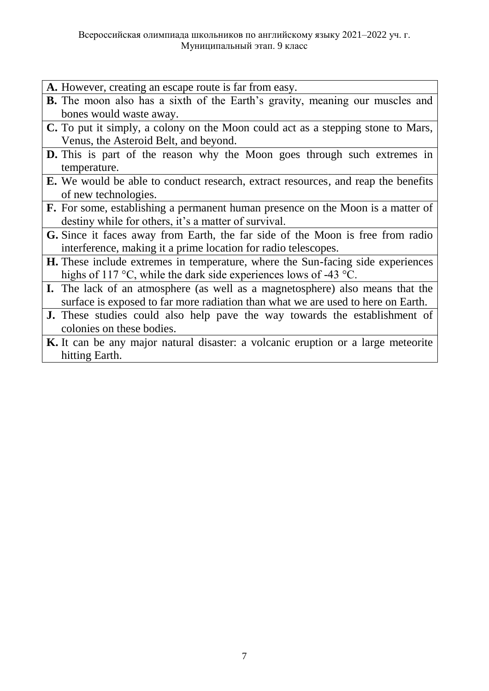- **A.** However, creating an escape route is far from easy.
- **B.** The moon also has a sixth of the Earth's gravity, meaning our muscles and bones would waste away.
- **C.** To put it simply, a colony on the Moon could act as a stepping stone to Mars, Venus, the Asteroid Belt, and beyond.
- **D.** This is part of the reason why the Moon goes through such extremes in temperature.
- **E.** We would be able to conduct research, extract resources, and reap the benefits of new technologies.
- **F.** For some, establishing a permanent human presence on the Moon is a matter of destiny while for others, it's a matter of survival.
- **G.** Since it faces away from Earth, the far side of the Moon is free from radio interference, making it a prime location for radio telescopes.
- **H.** These include extremes in temperature, where the Sun-facing side experiences highs of 117 °C, while the dark side experiences lows of -43 °C.
- **I.** The lack of an atmosphere (as well as a magnetosphere) also means that the surface is exposed to far more radiation than what we are used to here on Earth.
- **J.** These studies could also help pave the way towards the establishment of colonies on these bodies.
- **K.** It can be any major natural disaster: a volcanic eruption or a large meteorite hitting Earth.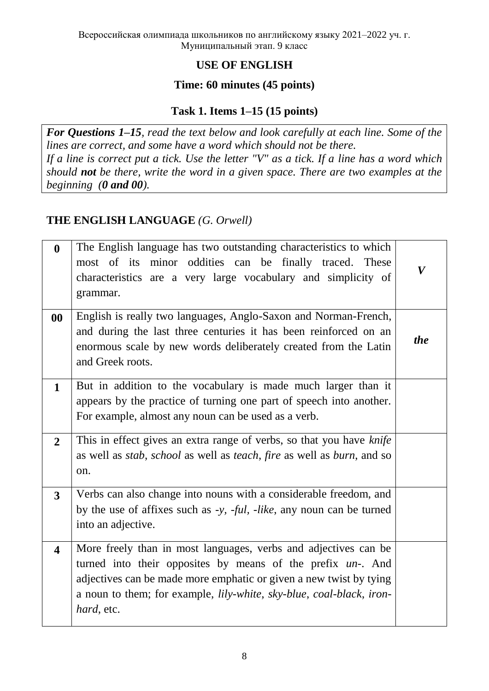# **USE OF ENGLISH**

### **Time: 60 minutes (45 points)**

# **Task 1. Items 1–15 (15 points)**

*For Questions 1–15, read the text below and look carefully at each line. Some of the lines are correct, and some have a word which should not be there. If a line is correct put a tick. Use the letter "V" as a tick. If a line has a word which should not be there, write the word in a given space. There are two examples at the beginning (0 and 00).* 

# **THE ENGLISH LANGUAGE** *(G. Orwell)*

| $\boldsymbol{0}$        | The English language has two outstanding characteristics to which<br>most of its minor oddities can be finally traced. These<br>characteristics are a very large vocabulary and simplicity of<br>grammar.                                                                                                                 | $\boldsymbol{V}$ |
|-------------------------|---------------------------------------------------------------------------------------------------------------------------------------------------------------------------------------------------------------------------------------------------------------------------------------------------------------------------|------------------|
| $\bf{00}$               | English is really two languages, Anglo-Saxon and Norman-French,<br>and during the last three centuries it has been reinforced on an<br>enormous scale by new words deliberately created from the Latin<br>and Greek roots.                                                                                                | <i>the</i>       |
| $\mathbf{1}$            | But in addition to the vocabulary is made much larger than it<br>appears by the practice of turning one part of speech into another.<br>For example, almost any noun can be used as a verb.                                                                                                                               |                  |
| $\overline{2}$          | This in effect gives an extra range of verbs, so that you have knife<br>as well as <i>stab</i> , <i>school</i> as well as <i>teach</i> , <i>fire</i> as well as <i>burn</i> , and so<br>on.                                                                                                                               |                  |
| $\overline{3}$          | Verbs can also change into nouns with a considerable freedom, and<br>by the use of affixes such as -y, -ful, -like, any noun can be turned<br>into an adjective.                                                                                                                                                          |                  |
| $\overline{\mathbf{4}}$ | More freely than in most languages, verbs and adjectives can be<br>turned into their opposites by means of the prefix un-. And<br>adjectives can be made more emphatic or given a new twist by tying<br>a noun to them; for example, <i>lily-white</i> , <i>sky-blue</i> , <i>coal-black</i> , <i>iron-</i><br>hard, etc. |                  |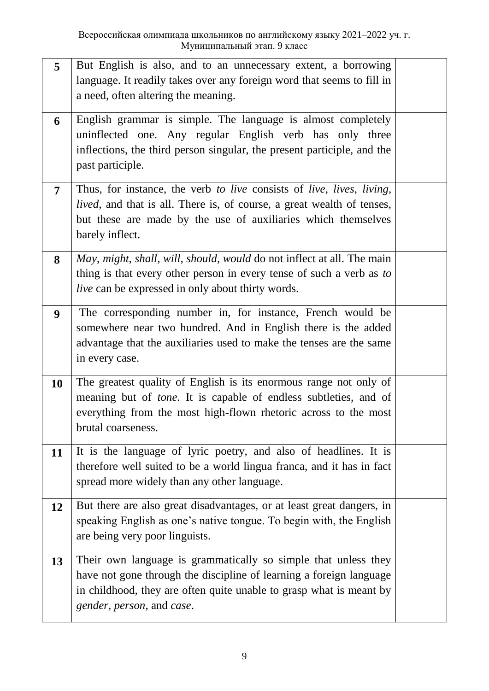| 5                | But English is also, and to an unnecessary extent, a borrowing<br>language. It readily takes over any foreign word that seems to fill in<br>a need, often altering the meaning.                                                           |  |
|------------------|-------------------------------------------------------------------------------------------------------------------------------------------------------------------------------------------------------------------------------------------|--|
| 6                | English grammar is simple. The language is almost completely<br>uninflected one. Any regular English verb has only three<br>inflections, the third person singular, the present participle, and the<br>past participle.                   |  |
| 7                | Thus, for instance, the verb to live consists of live, lives, living,<br>lived, and that is all. There is, of course, a great wealth of tenses,<br>but these are made by the use of auxiliaries which themselves<br>barely inflect.       |  |
| 8                | May, might, shall, will, should, would do not inflect at all. The main<br>thing is that every other person in every tense of such a verb as to<br><i>live</i> can be expressed in only about thirty words.                                |  |
| $\boldsymbol{9}$ | The corresponding number in, for instance, French would be<br>somewhere near two hundred. And in English there is the added<br>advantage that the auxiliaries used to make the tenses are the same<br>in every case.                      |  |
| 10               | The greatest quality of English is its enormous range not only of<br>meaning but of <i>tone</i> . It is capable of endless subtleties, and of<br>everything from the most high-flown rhetoric across to the most<br>brutal coarseness.    |  |
| 11               | It is the language of lyric poetry, and also of headlines. It is<br>therefore well suited to be a world lingua franca, and it has in fact<br>spread more widely than any other language.                                                  |  |
| 12               | But there are also great disadvantages, or at least great dangers, in<br>speaking English as one's native tongue. To begin with, the English<br>are being very poor linguists.                                                            |  |
| 13               | Their own language is grammatically so simple that unless they<br>have not gone through the discipline of learning a foreign language<br>in childhood, they are often quite unable to grasp what is meant by<br>gender, person, and case. |  |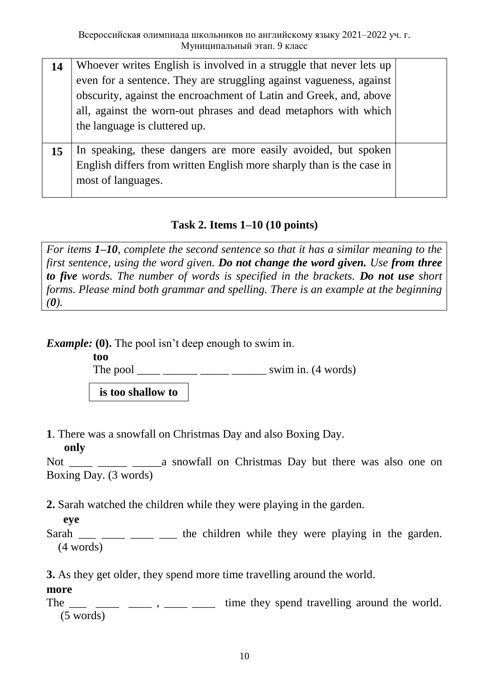| Whoever writes English is involved in a struggle that never lets up   |                               |
|-----------------------------------------------------------------------|-------------------------------|
| even for a sentence. They are struggling against vagueness, against   |                               |
| obscurity, against the encroachment of Latin and Greek, and, above    |                               |
| all, against the worn-out phrases and dead metaphors with which       |                               |
|                                                                       |                               |
|                                                                       |                               |
| In speaking, these dangers are more easily avoided, but spoken        |                               |
| English differs from written English more sharply than is the case in |                               |
| most of languages.                                                    |                               |
|                                                                       |                               |
|                                                                       | the language is cluttered up. |

# **Task 2. Items 1–10 (10 points)**

*For items 1–10, complete the second sentence so that it has a similar meaning to the first sentence, using the word given. Do not change the word given. Use from three to five words. The number of words is specified in the brackets. Do not use short forms. Please mind both grammar and spelling. There is an example at the beginning*   $(0)$ .

*Example:* (0). The pool isn't deep enough to swim in.

**too** 

The pool \_\_\_\_ \_\_\_\_\_\_ \_\_\_\_\_ \_\_\_\_\_\_ swim in. (4 words)

**is too shallow to**

**1**. There was a snowfall on Christmas Day and also Boxing Day.

**only**

Not \_\_\_\_ \_\_\_\_\_ \_\_\_\_\_a snowfall on Christmas Day but there was also one on Boxing Day. (3 words)

**2.** Sarah watched the children while they were playing in the garden.

**eye**

Sarah  $\frac{1}{\sqrt{2}}$   $\frac{1}{\sqrt{2}}$   $\frac{1}{\sqrt{2}}$  the children while they were playing in the garden. (4 words)

**3.** As they get older, they spend more time travelling around the world.

# **more**

The  $\frac{1}{\sqrt{1-\frac{1}{\sqrt{1-\frac{1}{\sqrt{1-\frac{1}{\sqrt{1-\frac{1}{\sqrt{1-\frac{1}{\sqrt{1-\frac{1}{\sqrt{1-\frac{1}{\sqrt{1-\frac{1}{\sqrt{1-\frac{1}{\sqrt{1-\frac{1}{\sqrt{1-\frac{1}{\sqrt{1-\frac{1}{\sqrt{1-\frac{1}{\sqrt{1-\frac{1}{\sqrt{1-\frac{1}{\sqrt{1-\frac{1}{\sqrt{1-\frac{1}{\sqrt{1-\frac{1}{\sqrt{1-\frac{1}{\sqrt{1-\frac{1}{\sqrt{1-\frac{1}{\sqrt{1-\frac{1}{\sqrt{1-\frac{1}{\sqrt{1$ (5 words)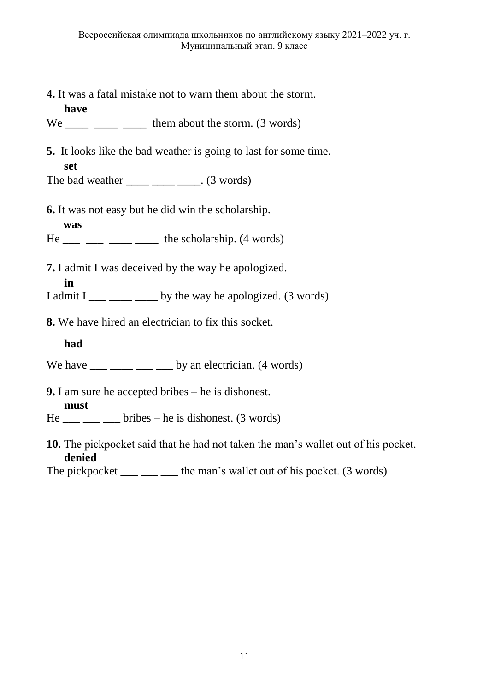**4.** It was a fatal mistake not to warn them about the storm.

 $We$  \_\_\_\_ \_\_\_ \_\_\_\_ them about the storm. (3 words)

**5.** It looks like the bad weather is going to last for some time. **set**

The bad weather  $\frac{1}{\sqrt{3}}$  words)

**6.** It was not easy but he did win the scholarship.

**was** 

**have** 

- $He$  \_\_\_ \_\_ \_\_ \_\_ \_\_ the scholarship. (4 words)
- **7.** I admit I was deceived by the way he apologized.
	- **in**
- I admit I  $\frac{1}{\sqrt{1-\frac{1}{\sqrt{1-\frac{1}{\sqrt{1-\frac{1}{\sqrt{1-\frac{1}{\sqrt{1-\frac{1}{\sqrt{1-\frac{1}{\sqrt{1-\frac{1}{\sqrt{1-\frac{1}{\sqrt{1-\frac{1}{\sqrt{1-\frac{1}{\sqrt{1-\frac{1}{\sqrt{1-\frac{1}{\sqrt{1-\frac{1}{\sqrt{1-\frac{1}{\sqrt{1-\frac{1}{\sqrt{1-\frac{1}{\sqrt{1-\frac{1}{\sqrt{1-\frac{1}{\sqrt{1-\frac{1}{\sqrt{1-\frac{1}{\sqrt{1-\frac{1}{\sqrt{1-\frac{1}{\sqrt{1-\frac{$
- **8.** We have hired an electrician to fix this socket.

### **had**

- We have  $\frac{m}{m}$   $\frac{m}{m}$   $\frac{m}{m}$  by an electrician. (4 words)
- **9.** I am sure he accepted bribes he is dishonest.

### **must**

- $He$  \_\_\_ \_\_ bribes he is dishonest. (3 words)
- **10.** The pickpocket said that he had not taken the man's wallet out of his pocket. **denied**

The pickpocket *u* the man's wallet out of his pocket. (3 words)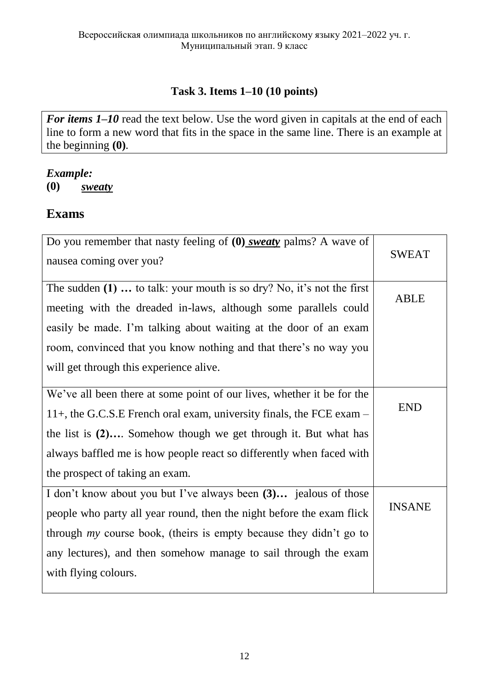# **Task 3. Items 1–10 (10 points)**

*For items 1–10* read the text below. Use the word given in capitals at the end of each line to form a new word that fits in the space in the same line. There is an example at the beginning **(0)***.*

### *Example:*

**(0)** *sweaty*

# **Exams**

| Do you remember that nasty feeling of $(0)$ sweaty palms? A wave of<br>nausea coming over you? | <b>SWEAT</b>  |
|------------------------------------------------------------------------------------------------|---------------|
|                                                                                                |               |
| The sudden $(1)$ to talk: your mouth is so dry? No, it's not the first                         |               |
| meeting with the dreaded in-laws, although some parallels could                                | <b>ABLE</b>   |
| easily be made. I'm talking about waiting at the door of an exam                               |               |
| room, convinced that you know nothing and that there's no way you                              |               |
| will get through this experience alive.                                                        |               |
| We've all been there at some point of our lives, whether it be for the                         |               |
| 11+, the G.C.S.E French oral exam, university finals, the FCE exam $-$                         | <b>END</b>    |
| the list is $(2)$ Somehow though we get through it. But what has                               |               |
| always baffled me is how people react so differently when faced with                           |               |
| the prospect of taking an exam.                                                                |               |
| I don't know about you but I've always been (3) jealous of those                               |               |
| people who party all year round, then the night before the exam flick                          | <b>INSANE</b> |
| through my course book, (theirs is empty because they didn't go to                             |               |
| any lectures), and then somehow manage to sail through the exam                                |               |
| with flying colours.                                                                           |               |
|                                                                                                |               |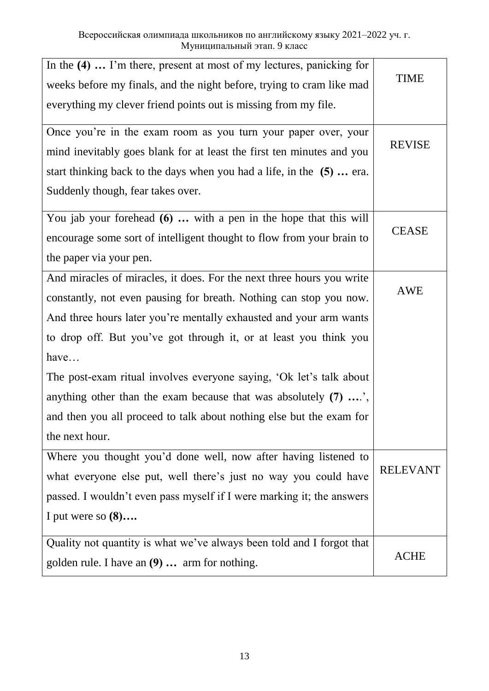| Quality not quantity is what we've always been told and I forgot that<br>golden rule. I have an (9)  arm for nothing. | <b>ACHE</b>     |
|-----------------------------------------------------------------------------------------------------------------------|-----------------|
| I put were so $(8)$                                                                                                   |                 |
| passed. I wouldn't even pass myself if I were marking it; the answers                                                 |                 |
| what everyone else put, well there's just no way you could have                                                       | <b>RELEVANT</b> |
| Where you thought you'd done well, now after having listened to                                                       |                 |
| the next hour.                                                                                                        |                 |
| and then you all proceed to talk about nothing else but the exam for                                                  |                 |
| anything other than the exam because that was absolutely $(7)$ ',                                                     |                 |
| The post-exam ritual involves everyone saying, 'Ok let's talk about                                                   |                 |
| have                                                                                                                  |                 |
| to drop off. But you've got through it, or at least you think you                                                     |                 |
| And three hours later you're mentally exhausted and your arm wants                                                    |                 |
| constantly, not even pausing for breath. Nothing can stop you now.                                                    | AWE             |
| And miracles of miracles, it does. For the next three hours you write                                                 |                 |
| the paper via your pen.                                                                                               |                 |
| encourage some sort of intelligent thought to flow from your brain to                                                 | <b>CEASE</b>    |
| You jab your forehead $(6)$ with a pen in the hope that this will                                                     |                 |
| Suddenly though, fear takes over.                                                                                     |                 |
| start thinking back to the days when you had a life, in the (5) era.                                                  |                 |
| mind inevitably goes blank for at least the first ten minutes and you                                                 |                 |
| Once you're in the exam room as you turn your paper over, your                                                        | <b>REVISE</b>   |
| everything my clever friend points out is missing from my file.                                                       |                 |
| weeks before my finals, and the night before, trying to cram like mad                                                 |                 |
| In the (4)  I'm there, present at most of my lectures, panicking for                                                  | <b>TIME</b>     |
|                                                                                                                       |                 |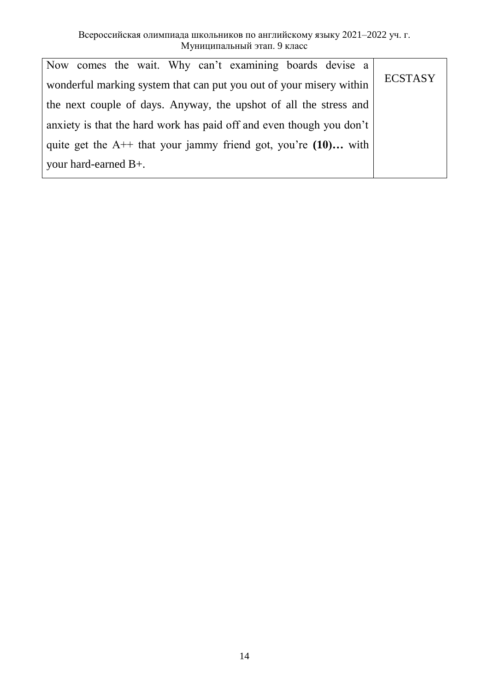| Now comes the wait. Why can't examining boards devise a               |                |  |
|-----------------------------------------------------------------------|----------------|--|
| wonderful marking system that can put you out of your misery within   | <b>ECSTASY</b> |  |
| the next couple of days. Anyway, the upshot of all the stress and     |                |  |
| anxiety is that the hard work has paid off and even though you don't  |                |  |
| quite get the $A^{++}$ that your jammy friend got, you're $(10)$ with |                |  |
| your hard-earned $B+$ .                                               |                |  |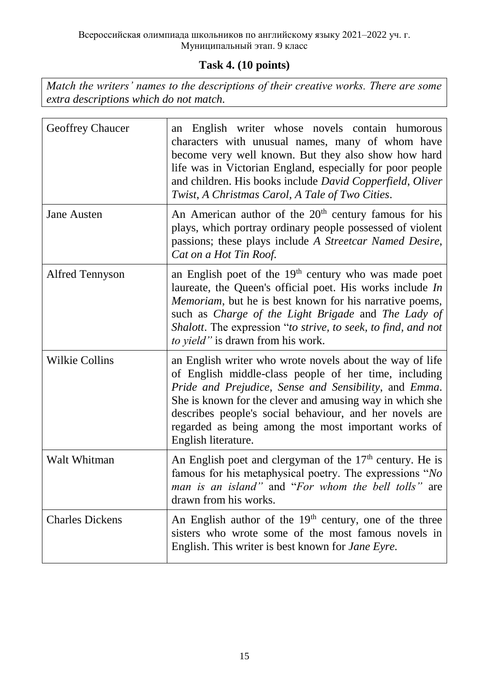# **Task 4. (10 points)**

*Match the writers' names to the descriptions of their creative works. There are some extra descriptions which do not match.*

| <b>Geoffrey Chaucer</b> | English writer whose novels contain humorous<br>an<br>characters with unusual names, many of whom have<br>become very well known. But they also show how hard<br>life was in Victorian England, especially for poor people<br>and children. His books include David Copperfield, Oliver<br>Twist, A Christmas Carol, A Tale of Two Cities.                                      |
|-------------------------|---------------------------------------------------------------------------------------------------------------------------------------------------------------------------------------------------------------------------------------------------------------------------------------------------------------------------------------------------------------------------------|
| <b>Jane Austen</b>      | An American author of the $20th$ century famous for his<br>plays, which portray ordinary people possessed of violent<br>passions; these plays include A Streetcar Named Desire,<br>Cat on a Hot Tin Roof.                                                                                                                                                                       |
| <b>Alfred Tennyson</b>  | an English poet of the $19th$ century who was made poet<br>laureate, the Queen's official poet. His works include In<br><i>Memoriam</i> , but he is best known for his narrative poems,<br>such as <i>Charge of the Light Brigade</i> and <i>The Lady of</i><br>Shalott. The expression "to strive, to seek, to find, and not<br><i>to yield</i> " is drawn from his work.      |
| <b>Wilkie Collins</b>   | an English writer who wrote novels about the way of life<br>of English middle-class people of her time, including<br>Pride and Prejudice, Sense and Sensibility, and Emma.<br>She is known for the clever and amusing way in which she<br>describes people's social behaviour, and her novels are<br>regarded as being among the most important works of<br>English literature. |
| Walt Whitman            | An English poet and clergyman of the $17th$ century. He is<br>famous for his metaphysical poetry. The expressions "No<br>man is an island" and "For whom the bell tolls" are<br>drawn from his works.                                                                                                                                                                           |
| <b>Charles Dickens</b>  | An English author of the $19th$ century, one of the three<br>sisters who wrote some of the most famous novels in<br>English. This writer is best known for <i>Jane Eyre</i> .                                                                                                                                                                                                   |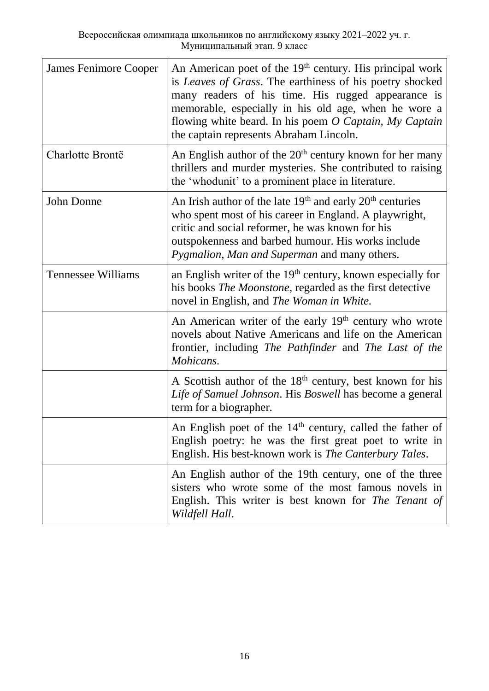| <b>James Fenimore Cooper</b> | An American poet of the 19 <sup>th</sup> century. His principal work<br>is Leaves of Grass. The earthiness of his poetry shocked<br>many readers of his time. His rugged appearance is<br>memorable, especially in his old age, when he wore a<br>flowing white beard. In his poem $O$ Captain, My Captain<br>the captain represents Abraham Lincoln. |
|------------------------------|-------------------------------------------------------------------------------------------------------------------------------------------------------------------------------------------------------------------------------------------------------------------------------------------------------------------------------------------------------|
| Charlotte Brontë             | An English author of the $20th$ century known for her many<br>thrillers and murder mysteries. She contributed to raising<br>the 'whodunit' to a prominent place in literature.                                                                                                                                                                        |
| John Donne                   | An Irish author of the late $19th$ and early $20th$ centuries<br>who spent most of his career in England. A playwright,<br>critic and social reformer, he was known for his<br>outspokenness and barbed humour. His works include<br>Pygmalion, Man and Superman and many others.                                                                     |
| <b>Tennessee Williams</b>    | an English writer of the $19th$ century, known especially for<br>his books <i>The Moonstone</i> , regarded as the first detective<br>novel in English, and The Woman in White.                                                                                                                                                                        |
|                              | An American writer of the early 19 <sup>th</sup> century who wrote<br>novels about Native Americans and life on the American<br>frontier, including The Pathfinder and The Last of the<br>Mohicans.                                                                                                                                                   |
|                              | A Scottish author of the $18th$ century, best known for his<br>Life of Samuel Johnson. His Boswell has become a general<br>term for a biographer.                                                                                                                                                                                                     |
|                              | An English poet of the 14 <sup>th</sup> century, called the father of<br>English poetry: he was the first great poet to write in<br>English. His best-known work is The Canterbury Tales.                                                                                                                                                             |
|                              | An English author of the 19th century, one of the three<br>sisters who wrote some of the most famous novels in<br>English. This writer is best known for The Tenant of<br>Wildfell Hall.                                                                                                                                                              |